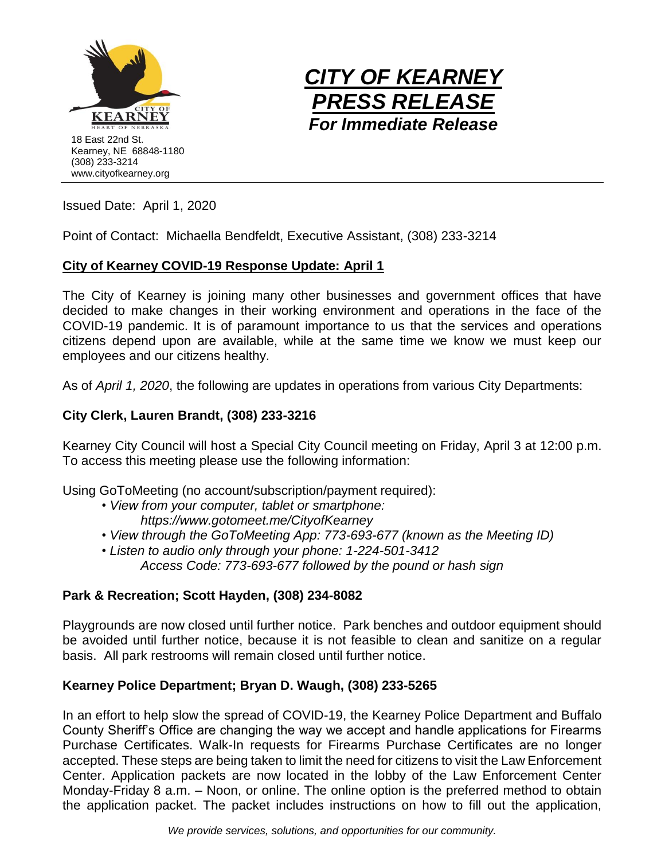



Issued Date: April 1, 2020

Point of Contact: Michaella Bendfeldt, Executive Assistant, (308) 233-3214

# **City of Kearney COVID-19 Response Update: April 1**

The City of Kearney is joining many other businesses and government offices that have decided to make changes in their working environment and operations in the face of the COVID-19 pandemic. It is of paramount importance to us that the services and operations citizens depend upon are available, while at the same time we know we must keep our employees and our citizens healthy.

As of *April 1, 2020*, the following are updates in operations from various City Departments:

# **City Clerk, Lauren Brandt, (308) 233-3216**

Kearney City Council will host a Special City Council meeting on Friday, April 3 at 12:00 p.m. To access this meeting please use the following information:

Using GoToMeeting (no account/subscription/payment required):

- *• View from your computer, tablet or smartphone: https://www.gotomeet.me/CityofKearney*
- *• View through the GoToMeeting App: 773-693-677 (known as the Meeting ID)*
- *• Listen to audio only through your phone: 1-224-501-3412 Access Code: 773-693-677 followed by the pound or hash sign*

## **Park & Recreation; Scott Hayden, (308) 234-8082**

Playgrounds are now closed until further notice. Park benches and outdoor equipment should be avoided until further notice, because it is not feasible to clean and sanitize on a regular basis. All park restrooms will remain closed until further notice.

## **Kearney Police Department; Bryan D. Waugh, (308) 233-5265**

In an effort to help slow the spread of COVID-19, the Kearney Police Department and Buffalo County Sheriff's Office are changing the way we accept and handle applications for Firearms Purchase Certificates. Walk-In requests for Firearms Purchase Certificates are no longer accepted. These steps are being taken to limit the need for citizens to visit the Law Enforcement Center. Application packets are now located in the lobby of the Law Enforcement Center Monday-Friday 8 a.m. – Noon, or online. The online option is the preferred method to obtain the application packet. The packet includes instructions on how to fill out the application,